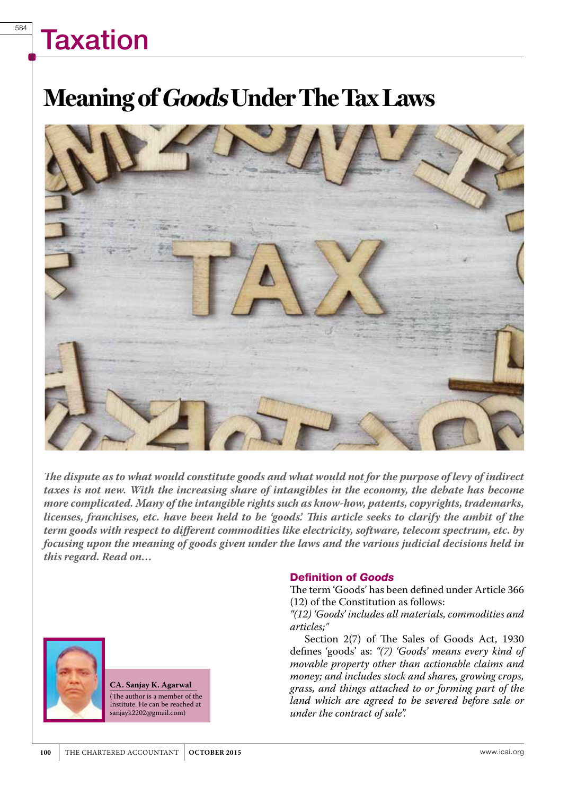584

## **Meaning of Goods Under The Tax Laws**



*The dispute as to what would constitute goods and what would not for the purpose of levy of indirect taxes is not new. With the increasing share of intangibles in the economy, the debate has become more complicated. Many of the intangible rights such as know-how, patents, copyrights, trademarks, licenses, franchises, etc. have been held to be 'goods'. This article seeks to clarify the ambit of the term goods with respect to different commodities like electricity, software, telecom spectrum, etc. by focusing upon the meaning of goods given under the laws and the various judicial decisions held in this regard. Read on…* 



**CA. Sanjay K. Agarwal** (The author is a member of the Institute. He can be reached at sanjayk2202@gmail.com)

### Definition of Goods

The term 'Goods' has been defined under Article 366 (12) of the Constitution as follows:

*"(12) 'Goods' includes all materials, commodities and articles;"*

Section 2(7) of The Sales of Goods Act, 1930 defines 'goods' as: *"(7) 'Goods' means every kind of movable property other than actionable claims and money; and includes stock and shares, growing crops, grass, and things attached to or forming part of the land which are agreed to be severed before sale or under the contract of sale".*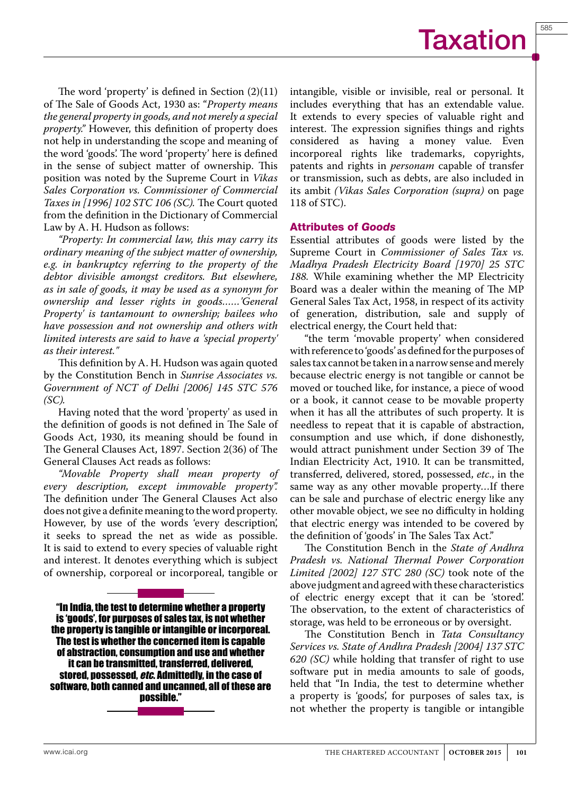

The word 'property' is defined in Section (2)(11) of The Sale of Goods Act, 1930 as: "*Property means the general property in goods, and not merely a special property."* However, this definition of property does not help in understanding the scope and meaning of the word 'goods'. The word 'property' here is defined in the sense of subject matter of ownership. This position was noted by the Supreme Court in *Vikas Sales Corporation vs. Commissioner of Commercial Taxes in [1996] 102 STC 106 (SC).* The Court quoted from the definition in the Dictionary of Commercial Law by A. H. Hudson as follows:

*"Property: In commercial law, this may carry its ordinary meaning of the subject matter of ownership, e.g. in bankruptcy referring to the property of the debtor divisible amongst creditors. But elsewhere, as in sale of goods, it may be used as a synonym for ownership and lesser rights in goods……'General Property' is tantamount to ownership; bailees who have possession and not ownership and others with limited interests are said to have a 'special property' as their interest."*

This definition by A. H. Hudson was again quoted by the Constitution Bench in *Sunrise Associates vs. Government of NCT of Delhi [2006] 145 STC 576 (SC).*

Having noted that the word 'property' as used in the definition of goods is not defined in The Sale of Goods Act, 1930, its meaning should be found in The General Clauses Act, 1897. Section 2(36) of The General Clauses Act reads as follows:

*"Movable Property shall mean property of every description, except immovable property".* The definition under The General Clauses Act also does not give a definite meaning to the word property. However, by use of the words 'every description', it seeks to spread the net as wide as possible. It is said to extend to every species of valuable right and interest. It denotes everything which is subject of ownership, corporeal or incorporeal, tangible or

"In India, the test to determine whether a property is 'goods', for purposes of sales tax, is not whether the property is tangible or intangible or incorporeal. The test is whether the concerned item is capable of abstraction, consumption and use and whether it can be transmitted, transferred, delivered, stored, possessed, *etc*. Admittedly, in the case of software, both canned and uncanned, all of these are possible."

intangible, visible or invisible, real or personal. It includes everything that has an extendable value. It extends to every species of valuable right and interest. The expression signifies things and rights considered as having a money value. Even incorporeal rights like trademarks, copyrights, patents and rights in *personam* capable of transfer or transmission, such as debts, are also included in its ambit *(Vikas Sales Corporation (supra)* on page 118 of STC).

#### Attributes of Goods

Essential attributes of goods were listed by the Supreme Court in *Commissioner of Sales Tax vs. Madhya Pradesh Electricity Board [1970] 25 STC 188.* While examining whether the MP Electricity Board was a dealer within the meaning of The MP General Sales Tax Act, 1958, in respect of its activity of generation, distribution, sale and supply of electrical energy, the Court held that:

"the term 'movable property' when considered with reference to 'goods' as defined for the purposes of sales tax cannot be taken in a narrow sense and merely because electric energy is not tangible or cannot be moved or touched like, for instance, a piece of wood or a book, it cannot cease to be movable property when it has all the attributes of such property. It is needless to repeat that it is capable of abstraction, consumption and use which, if done dishonestly, would attract punishment under Section 39 of The Indian Electricity Act, 1910. It can be transmitted, transferred, delivered, stored, possessed, *etc*., in the same way as any other movable property…If there can be sale and purchase of electric energy like any other movable object, we see no difficulty in holding that electric energy was intended to be covered by the definition of 'goods' in The Sales Tax Act."

The Constitution Bench in the *State of Andhra Pradesh vs. National Thermal Power Corporation Limited [2002] 127 STC 280 (SC)* took note of the above judgment and agreed with these characteristics of electric energy except that it can be 'stored'. The observation, to the extent of characteristics of storage, was held to be erroneous or by oversight.

The Constitution Bench in *Tata Consultancy Services vs. State of Andhra Pradesh [2004] 137 STC 620 (SC)* while holding that transfer of right to use software put in media amounts to sale of goods, held that "In India, the test to determine whether a property is 'goods', for purposes of sales tax, is not whether the property is tangible or intangible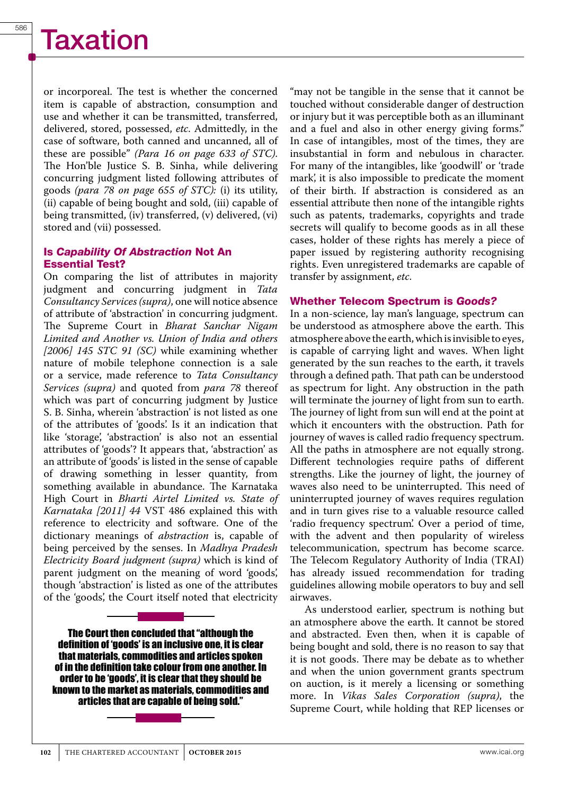or incorporeal. The test is whether the concerned item is capable of abstraction, consumption and use and whether it can be transmitted, transferred, delivered, stored, possessed, *etc*. Admittedly, in the case of software, both canned and uncanned, all of these are possible" *(Para 16 on page 633 of STC)*. The Hon'ble Justice S. B. Sinha, while delivering concurring judgment listed following attributes of goods *(para 78 on page 655 of STC):* (i) its utility, (ii) capable of being bought and sold, (iii) capable of being transmitted, (iv) transferred, (v) delivered, (vi) stored and (vii) possessed.

### Is Capability Of Abstraction Not An Essential Test?

On comparing the list of attributes in majority judgment and concurring judgment in *Tata Consultancy Services (supra)*, one will notice absence of attribute of 'abstraction' in concurring judgment. The Supreme Court in *Bharat Sanchar Nigam Limited and Another vs. Union of India and others [2006] 145 STC 91 (SC)* while examining whether nature of mobile telephone connection is a sale or a service, made reference to *Tata Consultancy Services (supra)* and quoted from *para 78* thereof which was part of concurring judgment by Justice S. B. Sinha, wherein 'abstraction' is not listed as one of the attributes of 'goods'. Is it an indication that like 'storage', 'abstraction' is also not an essential attributes of 'goods'? It appears that, 'abstraction' as an attribute of 'goods' is listed in the sense of capable of drawing something in lesser quantity, from something available in abundance. The Karnataka High Court in *Bharti Airtel Limited vs. State of Karnataka [2011] 44* VST 486 explained this with reference to electricity and software. One of the dictionary meanings of *abstraction* is, capable of being perceived by the senses. In *Madhya Pradesh Electricity Board judgment (supra)* which is kind of parent judgment on the meaning of word 'goods', though 'abstraction' is listed as one of the attributes of the 'goods', the Court itself noted that electricity

The Court then concluded that "although the definition of 'goods' is an inclusive one, it is clear that materials, commodities and articles spoken of in the definition take colour from one another. In order to be 'goods', it is clear that they should be known to the market as materials, commodities and articles that are capable of being sold."



"may not be tangible in the sense that it cannot be touched without considerable danger of destruction or injury but it was perceptible both as an illuminant and a fuel and also in other energy giving forms." In case of intangibles, most of the times, they are insubstantial in form and nebulous in character. For many of the intangibles, like 'goodwill' or 'trade mark', it is also impossible to predicate the moment of their birth. If abstraction is considered as an essential attribute then none of the intangible rights such as patents, trademarks, copyrights and trade secrets will qualify to become goods as in all these cases, holder of these rights has merely a piece of paper issued by registering authority recognising rights. Even unregistered trademarks are capable of transfer by assignment, *etc*.

### Whether Telecom Spectrum is Goods?

In a non-science, lay man's language, spectrum can be understood as atmosphere above the earth. This atmosphere above the earth, which is invisible to eyes, is capable of carrying light and waves. When light generated by the sun reaches to the earth, it travels through a defined path. That path can be understood as spectrum for light. Any obstruction in the path will terminate the journey of light from sun to earth. The journey of light from sun will end at the point at which it encounters with the obstruction. Path for journey of waves is called radio frequency spectrum. All the paths in atmosphere are not equally strong. Different technologies require paths of different strengths. Like the journey of light, the journey of waves also need to be uninterrupted. This need of uninterrupted journey of waves requires regulation and in turn gives rise to a valuable resource called 'radio frequency spectrum'. Over a period of time, with the advent and then popularity of wireless telecommunication, spectrum has become scarce. The Telecom Regulatory Authority of India (TRAI) has already issued recommendation for trading guidelines allowing mobile operators to buy and sell airwaves.

As understood earlier, spectrum is nothing but an atmosphere above the earth. It cannot be stored and abstracted. Even then, when it is capable of being bought and sold, there is no reason to say that it is not goods. There may be debate as to whether and when the union government grants spectrum on auction, is it merely a licensing or something more. In *Vikas Sales Corporation (supra)*, the Supreme Court, while holding that REP licenses or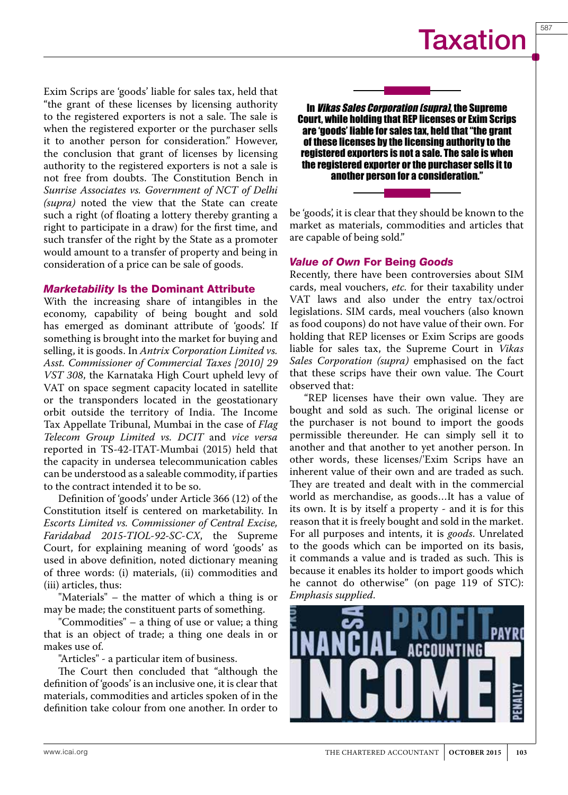Exim Scrips are 'goods' liable for sales tax, held that "the grant of these licenses by licensing authority to the registered exporters is not a sale. The sale is when the registered exporter or the purchaser sells it to another person for consideration." However, the conclusion that grant of licenses by licensing authority to the registered exporters is not a sale is not free from doubts. The Constitution Bench in *Sunrise Associates vs. Government of NCT of Delhi (supra)* noted the view that the State can create such a right (of floating a lottery thereby granting a right to participate in a draw) for the first time, and such transfer of the right by the State as a promoter would amount to a transfer of property and being in consideration of a price can be sale of goods.

### Marketability Is the Dominant Attribute

With the increasing share of intangibles in the economy, capability of being bought and sold has emerged as dominant attribute of 'goods'. If something is brought into the market for buying and selling, it is goods. In *Antrix Corporation Limited vs. Asst. Commissioner of Commercial Taxes [2010] 29 VST 308*, the Karnataka High Court upheld levy of VAT on space segment capacity located in satellite or the transponders located in the geostationary orbit outside the territory of India. The Income Tax Appellate Tribunal, Mumbai in the case of *Flag Telecom Group Limited vs. DCIT* and *vice versa*  reported in TS-42-ITAT-Mumbai (2015) held that the capacity in undersea telecommunication cables can be understood as a saleable commodity, if parties to the contract intended it to be so.

Definition of 'goods' under Article 366 (12) of the Constitution itself is centered on marketability. In *Escorts Limited vs. Commissioner of Central Excise, Faridabad 2015-TIOL-92-SC-CX*, the Supreme Court, for explaining meaning of word 'goods' as used in above definition, noted dictionary meaning of three words: (i) materials, (ii) commodities and (iii) articles, thus:

"Materials" – the matter of which a thing is or may be made; the constituent parts of something.

"Commodities" – a thing of use or value; a thing that is an object of trade; a thing one deals in or makes use of.

"Articles" - a particular item of business.

The Court then concluded that "although the definition of 'goods' is an inclusive one, it is clear that materials, commodities and articles spoken of in the definition take colour from one another. In order to

In *Vikas Sales Corporation (supra)*, the Supreme Court, while holding that REP licenses or Exim Scrips are 'goods' liable for sales tax, held that "the grant of these licenses by the licensing authority to the registered exporters is not a sale. The sale is when the registered exporter or the purchaser sells it to another person for a consideration."

be 'goods', it is clear that they should be known to the market as materials, commodities and articles that are capable of being sold."

### Value of Own For Being Goods

Recently, there have been controversies about SIM cards, meal vouchers, *etc.* for their taxability under VAT laws and also under the entry tax/octroi legislations. SIM cards, meal vouchers (also known as food coupons) do not have value of their own. For holding that REP licenses or Exim Scrips are goods liable for sales tax, the Supreme Court in *Vikas Sales Corporation (supra)* emphasised on the fact that these scrips have their own value. The Court observed that:

"REP licenses have their own value. They are bought and sold as such. The original license or the purchaser is not bound to import the goods permissible thereunder. He can simply sell it to another and that another to yet another person. In other words, these licenses/'Exim Scrips have an inherent value of their own and are traded as such. They are treated and dealt with in the commercial world as merchandise, as goods…It has a value of its own. It is by itself a property - and it is for this reason that it is freely bought and sold in the market. For all purposes and intents, it is *goods*. Unrelated to the goods which can be imported on its basis, it commands a value and is traded as such. This is because it enables its holder to import goods which he cannot do otherwise" (on page 119 of STC): *Emphasis supplied*.

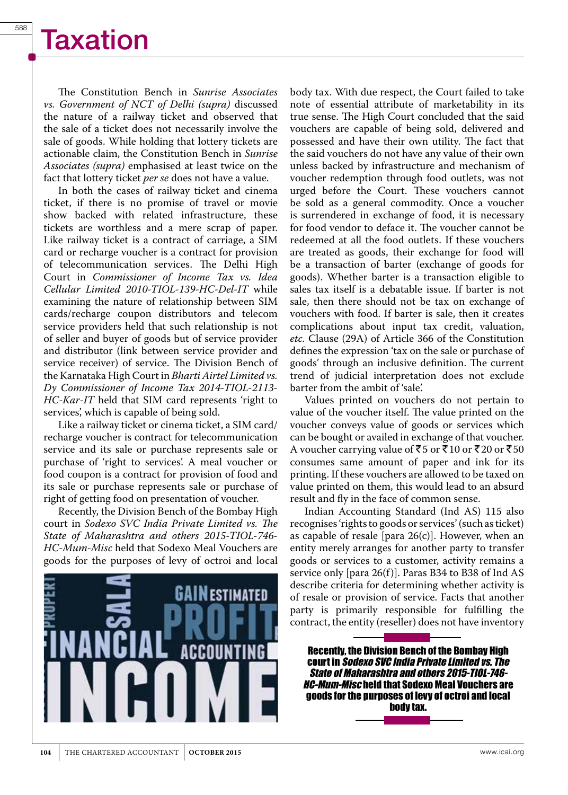The Constitution Bench in *Sunrise Associates vs. Government of NCT of Delhi (supra)* discussed the nature of a railway ticket and observed that the sale of a ticket does not necessarily involve the sale of goods. While holding that lottery tickets are actionable claim, the Constitution Bench in *Sunrise Associates (supra)* emphasised at least twice on the fact that lottery ticket *per se* does not have a value.

In both the cases of railway ticket and cinema ticket, if there is no promise of travel or movie show backed with related infrastructure, these tickets are worthless and a mere scrap of paper. Like railway ticket is a contract of carriage, a SIM card or recharge voucher is a contract for provision of telecommunication services. The Delhi High Court in *Commissioner of Income Tax vs. Idea Cellular Limited 2010-TIOL-139-HC-Del-IT* while examining the nature of relationship between SIM cards/recharge coupon distributors and telecom service providers held that such relationship is not of seller and buyer of goods but of service provider and distributor (link between service provider and service receiver) of service. The Division Bench of the Karnataka High Court in *Bharti Airtel Limited vs. Dy Commissioner of Income Tax 2014-TIOL-2113- HC-Kar-IT* held that SIM card represents 'right to services', which is capable of being sold.

Like a railway ticket or cinema ticket, a SIM card/ recharge voucher is contract for telecommunication service and its sale or purchase represents sale or purchase of 'right to services'. A meal voucher or food coupon is a contract for provision of food and its sale or purchase represents sale or purchase of right of getting food on presentation of voucher.

Recently, the Division Bench of the Bombay High court in *Sodexo SVC India Private Limited vs. The State of Maharashtra and others 2015-TIOL-746- HC-Mum-Misc* held that Sodexo Meal Vouchers are goods for the purposes of levy of octroi and local



body tax. With due respect, the Court failed to take note of essential attribute of marketability in its true sense. The High Court concluded that the said vouchers are capable of being sold, delivered and possessed and have their own utility. The fact that the said vouchers do not have any value of their own unless backed by infrastructure and mechanism of voucher redemption through food outlets, was not urged before the Court. These vouchers cannot be sold as a general commodity. Once a voucher is surrendered in exchange of food, it is necessary for food vendor to deface it. The voucher cannot be redeemed at all the food outlets. If these vouchers are treated as goods, their exchange for food will be a transaction of barter (exchange of goods for goods). Whether barter is a transaction eligible to sales tax itself is a debatable issue. If barter is not sale, then there should not be tax on exchange of vouchers with food. If barter is sale, then it creates complications about input tax credit, valuation, *etc.* Clause (29A) of Article 366 of the Constitution defines the expression 'tax on the sale or purchase of goods' through an inclusive definition. The current trend of judicial interpretation does not exclude barter from the ambit of 'sale'.

Values printed on vouchers do not pertain to value of the voucher itself. The value printed on the voucher conveys value of goods or services which can be bought or availed in exchange of that voucher. A voucher carrying value of ₹5 or ₹10 or ₹20 or ₹50 consumes same amount of paper and ink for its printing. If these vouchers are allowed to be taxed on value printed on them, this would lead to an absurd result and fly in the face of common sense.

Indian Accounting Standard (Ind AS) 115 also recognises 'rights to goods or services' (such as ticket) as capable of resale [para  $26(c)$ ]. However, when an entity merely arranges for another party to transfer goods or services to a customer, activity remains a service only [para 26(f)]. Paras B34 to B38 of Ind AS describe criteria for determining whether activity is of resale or provision of service. Facts that another party is primarily responsible for fulfilling the contract, the entity (reseller) does not have inventory

Recently, the Division Bench of the Bombay High court in *Sodexo SVC India Private Limited vs. The State of Maharashtra and others 2015-TIOL-746- HC-Mum-Misc* held that Sodexo Meal Vouchers are goods for the purposes of levy of octroi and local body tax.